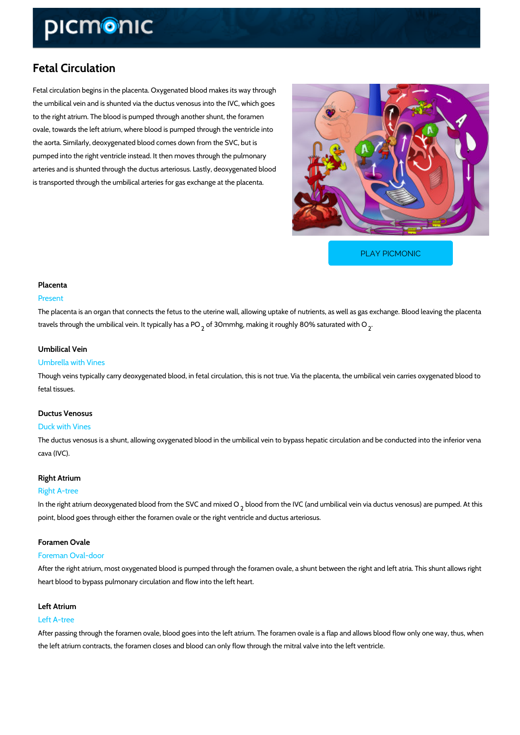# Fetal Circulation

Fetal circulation begins in the placenta. Oxygenated blood makes its way through the umbilical vein and is shunted via the ductus venosus into the IVC, which goes to the right atrium. The blood is pumped through another shunt, the foramen ovale, towards the left atrium, where blood is pumped through the ventricle into the aorta. Similarly, deoxygenated blood comes down from the SVC, but is pumped into the right ventricle instead. It then moves through the pulmonary arteries and is shunted through the ductus arteriosus. Lastly, deoxygenated blood is transported through the umbilical arteries for gas exchange at the placenta.

[PLAY PICMONIC](https://www.picmonic.com/learn/fetal-circulation_1268?utm_source=downloadable_content&utm_medium=distributedcontent&utm_campaign=pathways_pdf&utm_content=Fetal Circulation&utm_ad_group=leads&utm_market=all)

# Placenta

### Present

The placenta is an organ that connects the fetus to the uterine wall, allowing uptake of nutrie travels through the umbilical veinof Bolympmidhagl, Iym lank sing PtO roughly 80% saturated with O

# Umbilical Vein

### Umbrella with Vines

Though veins typically carry deoxygenated blood, in fetal circulation, this is not true. Via the fetal tissues.

### Ductus Venosus

#### Duck with Vines

The ductus venosus is a shunt, allowing oxygenated blood in the umbilical vein to bypass hep cava (IVC).

# Right Atrium

### Right A-tree

In the right atrium deoxygenated blood  $f_r$ rbhootdefr $\mathfrak d$  bhCthaend VnCix(each dO umbilical vein via ductus ven point, blood goes through either the foramen ovale or the right ventricle and ductus arteriosu

# Foramen Ovale

### Foreman Oval-door

After the right atrium, most oxygenated blood is pumped through the foramen ovale, a shunt b heart blood to bypass pulmonary circulation and flow into the left heart.

# Left Atrium

### Left A-tree

After passing through the foramen ovale, blood goes into the left atrium. The foramen ovale is the left atrium contracts, the foramen closes and blood can only flow through the mitral valve